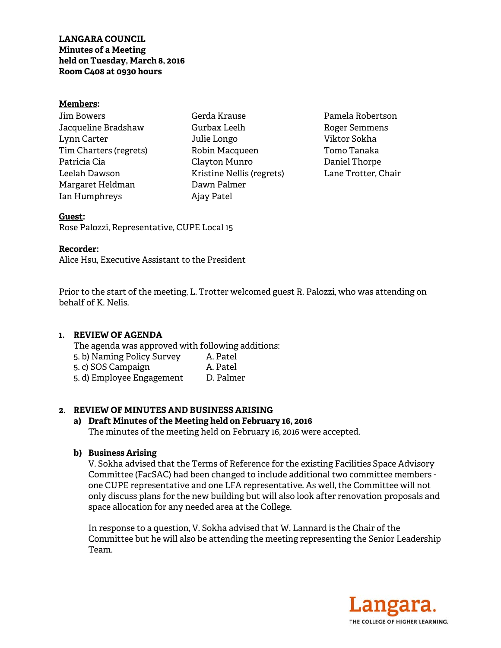#### **Members:**

| Jim Bowers             |
|------------------------|
| Jacqueline Bradshaw    |
| Lynn Carter            |
| Tim Charters (regrets) |
| Patricia Cia           |
| Leelah Dawson          |
| Margaret Heldman       |
| Ian Humphreys          |

Gerda Krause Gurbax Leelh Julie Longo Robin Macqueen Clayton Munro Kristine Nellis (regrets) Dawn Palmer Ajay Patel

Pamela Robertson Roger Semmens Viktor Sokha Tomo Tanaka Daniel Thorpe Lane Trotter, Chair

## **Guest:**

Rose Palozzi, Representative, CUPE Local 15

## **Recorder:**

Alice Hsu, Executive Assistant to the President

Prior to the start of the meeting, L. Trotter welcomed guest R. Palozzi, who was attending on behalf of K. Nelis.

# **1. REVIEW OF AGENDA**

The agenda was approved with following additions:

- 5. b) Naming Policy Survey A. Patel
- 5. c) SOS Campaign
- 5. d) Employee Engagement D. Palmer

# **2. REVIEW OF MINUTES AND BUSINESS ARISING**

### **a) Draft Minutes of the Meeting held on February 16, 2016**  The minutes of the meeting held on February 16, 2016 were accepted.

# **b) Business Arising**

V. Sokha advised that the Terms of Reference for the existing Facilities Space Advisory Committee (FacSAC) had been changed to include additional two committee members one CUPE representative and one LFA representative. As well, the Committee will not only discuss plans for the new building but will also look after renovation proposals and space allocation for any needed area at the College.

In response to a question, V. Sokha advised that W. Lannard is the Chair of the Committee but he will also be attending the meeting representing the Senior Leadership Team.

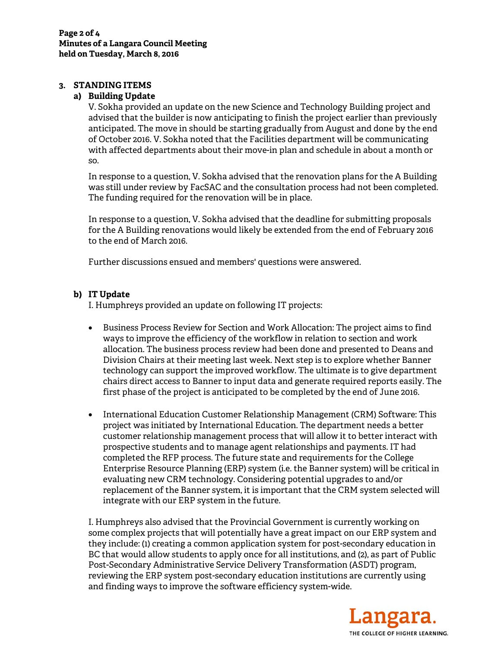# **3. STANDING ITEMS**

#### **a) Building Update**

V. Sokha provided an update on the new Science and Technology Building project and advised that the builder is now anticipating to finish the project earlier than previously anticipated. The move in should be starting gradually from August and done by the end of October 2016. V. Sokha noted that the Facilities department will be communicating with affected departments about their move-in plan and schedule in about a month or so.

In response to a question, V. Sokha advised that the renovation plans for the A Building was still under review by FacSAC and the consultation process had not been completed. The funding required for the renovation will be in place.

In response to a question, V. Sokha advised that the deadline for submitting proposals for the A Building renovations would likely be extended from the end of February 2016 to the end of March 2016.

Further discussions ensued and members' questions were answered.

#### **b) IT Update**

I. Humphreys provided an update on following IT projects:

- Business Process Review for Section and Work Allocation: The project aims to find ways to improve the efficiency of the workflow in relation to section and work allocation. The business process review had been done and presented to Deans and Division Chairs at their meeting last week. Next step is to explore whether Banner technology can support the improved workflow. The ultimate is to give department chairs direct access to Banner to input data and generate required reports easily. The first phase of the project is anticipated to be completed by the end of June 2016.
- International Education Customer Relationship Management (CRM) Software: This project was initiated by International Education. The department needs a better customer relationship management process that will allow it to better interact with prospective students and to manage agent relationships and payments. IT had completed the RFP process. The future state and requirements for the College Enterprise Resource Planning (ERP) system (i.e. the Banner system) will be critical in evaluating new CRM technology. Considering potential upgrades to and/or replacement of the Banner system, it is important that the CRM system selected will integrate with our ERP system in the future.

I. Humphreys also advised that the Provincial Government is currently working on some complex projects that will potentially have a great impact on our ERP system and they include: (1) creating a common application system for post-secondary education in BC that would allow students to apply once for all institutions, and (2), as part of Public Post-Secondary Administrative Service Delivery Transformation (ASDT) program, reviewing the ERP system post-secondary education institutions are currently using and finding ways to improve the software efficiency system-wide.

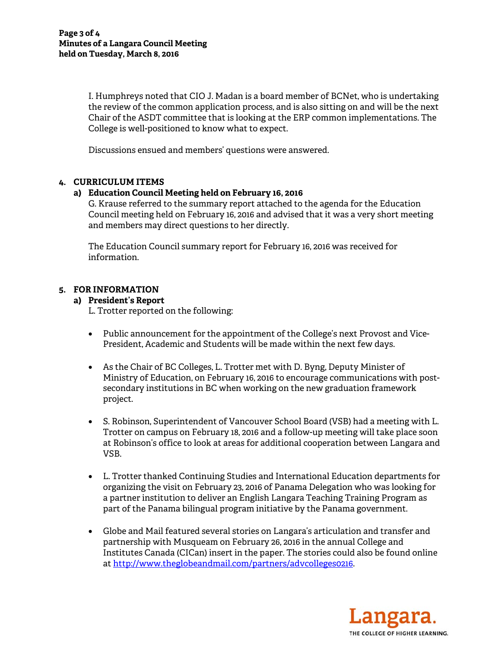I. Humphreys noted that CIO J. Madan is a board member of BCNet, who is undertaking the review of the common application process, and is also sitting on and will be the next Chair of the ASDT committee that is looking at the ERP common implementations. The College is well-positioned to know what to expect.

Discussions ensued and members' questions were answered.

# **4. CURRICULUM ITEMS**

# **a) Education Council Meeting held on February 16, 2016**

G. Krause referred to the summary report attached to the agenda for the Education Council meeting held on February 16, 2016 and advised that it was a very short meeting and members may direct questions to her directly.

The Education Council summary report for February 16, 2016 was received for information.

# **5. FOR INFORMATION**

## **a) President's Report**

L. Trotter reported on the following:

- Public announcement for the appointment of the College's next Provost and Vice-President, Academic and Students will be made within the next few days.
- As the Chair of BC Colleges, L. Trotter met with D. Byng, Deputy Minister of Ministry of Education, on February 16, 2016 to encourage communications with postsecondary institutions in BC when working on the new graduation framework project.
- S. Robinson, Superintendent of Vancouver School Board (VSB) had a meeting with L. Trotter on campus on February 18, 2016 and a follow-up meeting will take place soon at Robinson's office to look at areas for additional cooperation between Langara and VSB.
- L. Trotter thanked Continuing Studies and International Education departments for organizing the visit on February 23, 2016 of Panama Delegation who was looking for a partner institution to deliver an English Langara Teaching Training Program as part of the Panama bilingual program initiative by the Panama government.
- Globe and Mail featured several stories on Langara's articulation and transfer and partnership with Musqueam on February 26, 2016 in the annual College and Institutes Canada (CICan) insert in the paper. The stories could also be found online at http://www.theglobeandmail.com/partners/advcolleges0216.